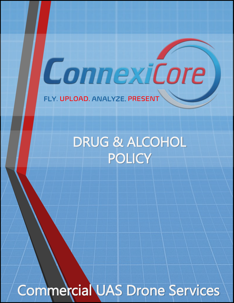FLY. UPLOAD. ANALYZE. PRESENT

DRUG & ALCOHOL **POLICY** 

ConnexiCore

Commercial UAS Drone Services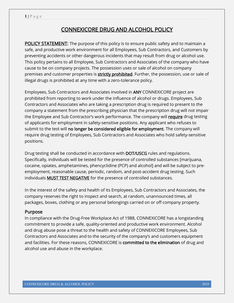# CONNEXICORE DRUG AND ALCOHOL POLICY

**POLICY STATEMENT:** The purpose of this policy is to ensure public safety and to maintain a safe, and productive work environment for all Employees, Sub Contractors, and Customers by preventing accidents or other dangerous incidents that may result from drug or alcohol use. This policy pertains to all Employee, Sub Contractors and Associates of the company who have cause to be on company projects. The possession uses or sale of alcohol on company premises and customer properties is **strictly prohibited**. Further, the possession, use or sale of illegal drugs is prohibited at any time with a zero-tolerance policy.

Employees, Sub Contractors and Associates involved in ANY CONNEXICORE project are prohibited from reporting to work under the influence of alcohol or drugs. Employees, Sub Contractors and Associates who are taking a prescription drug is required to present to the company a statement from the prescribing physician that the prescription drug will not impair the Employee and Sub Contractor's work performance. The company will require drug testing of applicants for employment in safety-sensitive positions. Any applicant who refuses to submit to the test will no longer be considered eligible for employment. The company will require drug testing of Employees, Sub Contractors and Associates who hold safety-sensitive positions.

Drug testing shall be conducted in accordance with DOT/USCG rules and regulations. Specifically, individuals will be tested for the presence of controlled substances [marijuana, cocaine, opiates, amphetamines, phencyclidine (PCP) and alcohol] and will be subject to preemployment, reasonable cause, periodic, random, and post-accident drug testing. Such individuals **MUST TEST NEGATIVE** for the presence of controlled substances.

In the interest of the safety and health of its Employees, Sub Contractors and Associates, the company reserves the right to inspect and search, at random, unannounced times, all packages, boxes, clothing or any personal belongings carried on or off company property.

#### Purpose

In compliance with the Drug-Free Workplace Act of 1988, CONNEXICORE has a longstanding commitment to provide a safe, quality-oriented and productive work environment. Alcohol and drug abuse pose a threat to the health and safety of CONNEXICORE Employees, Sub Contractors and Associates and to the security of the company's and customers equipment and facilities. For these reasons, CONNEXICORE is committed to the elimination of drug and alcohol use and abuse in the workplace.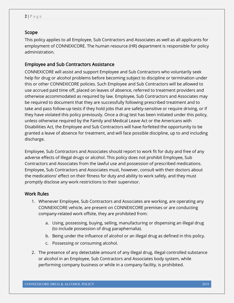## Scope

This policy applies to all Employee, Sub Contractors and Associates as well as all applicants for employment of CONNEXICORE. The human resource (HR) department is responsible for policy administration.

## Employee and Sub Contractors Assistance

CONNEXICORE will assist and support Employee and Sub Contractors who voluntarily seek help for drug or alcohol problems before becoming subject to discipline or termination under this or other CONNEXICORE policies. Such Employee and Sub Contractors will be allowed to use accrued paid time off, placed on leaves of absence, referred to treatment providers and otherwise accommodated as required by law. Employee, Sub Contractors and Associates may be required to document that they are successfully following prescribed treatment and to take and pass follow-up tests if they hold jobs that are safety-sensitive or require driving, or if they have violated this policy previously. Once a drug test has been initiated under this policy, unless otherwise required by the Family and Medical Leave Act or the Americans with Disabilities Act, the Employee and Sub Contractors will have forfeited the opportunity to be granted a leave of absence for treatment, and will face possible discipline, up to and including discharge.

Employee, Sub Contractors and Associates should report to work fit for duty and free of any adverse effects of illegal drugs or alcohol. This policy does not prohibit Employee, Sub Contractors and Associates from the lawful use and possession of prescribed medications. Employee, Sub Contractors and Associates must, however, consult with their doctors about the medications' effect on their fitness for duty and ability to work safely, and they must promptly disclose any work restrictions to their supervisor.

## Work Rules

- 1. Whenever Employee, Sub Contractors and Associates are working, are operating any CONNEXICORE vehicle, are present on CONNEXICORE premises or are conducting company-related work offsite, they are prohibited from:
	- a. Using, possessing, buying, selling, manufacturing or dispensing an illegal drug (to include possession of drug paraphernalia).
	- b. Being under the influence of alcohol or an illegal drug as defined in this policy.
	- c. Possessing or consuming alcohol.
- 2. The presence of any detectable amount of any illegal drug, illegal controlled substance or alcohol in an Employee, Sub Contractors and Associates body system, while performing company business or while in a company facility, is prohibited.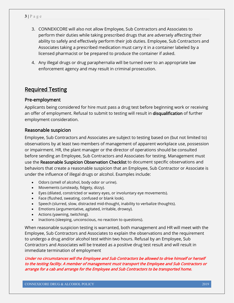- 3. CONNEXICORE will also not allow Employee, Sub Contractors and Associates to perform their duties while taking prescribed drugs that are adversely affecting their ability to safely and effectively perform their job duties. Employee, Sub Contractors and Associates taking a prescribed medication must carry it in a container labeled by a licensed pharmacist or be prepared to produce the container if asked.
- 4. Any illegal drugs or drug paraphernalia will be turned over to an appropriate law enforcement agency and may result in criminal prosecution.

## Required Testing

## Pre-employment

Applicants being considered for hire must pass a drug test before beginning work or receiving an offer of employment. Refusal to submit to testing will result in disqualification of further employment consideration.

#### Reasonable suspicion

Employee, Sub Contractors and Associates are subject to testing based on (but not limited to) observations by at least two members of management of apparent workplace use, possession or impairment. HR, the plant manager or the director of operations should be consulted before sending an Employee, Sub Contractors and Associates for testing. Management must use the Reasonable Suspicion Observation Checklist to document specific observations and behaviors that create a reasonable suspicion that an Employee, Sub Contractor or Associate is under the influence of illegal drugs or alcohol. Examples include:

- Odors (smell of alcohol, body odor or urine).
- Movements (unsteady, fidgety, dizzy).
- Eyes (dilated, constricted or watery eyes, or involuntary eye movements).
- Face (flushed, sweating, confused or blank look).
- Speech (slurred, slow, distracted mid-thought, inability to verbalize thoughts).
- Emotions (argumentative, agitated, irritable, drowsy).
- Actions (yawning, twitching).
- Inactions (sleeping, unconscious, no reaction to questions).

When reasonable suspicion testing is warranted, both management and HR will meet with the Employee, Sub Contractors and Associates to explain the observations and the requirement to undergo a drug and/or alcohol test within two hours. Refusal by an Employee, Sub Contractors and Associates will be treated as a positive drug test result and will result in immediate termination of employment

Under no circumstances will the Employee and Sub Contractors be allowed to drive himself or herself to the testing facility. A member of management must transport the Employee and Sub Contractors or arrange for a cab and arrange for the Employee and Sub Contractors to be transported home.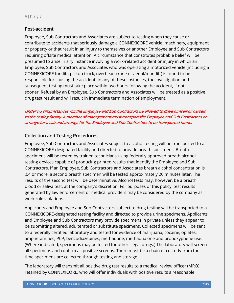#### Post-accident

Employee, Sub Contractors and Associates are subject to testing when they cause or contribute to accidents that seriously damage a CONNEXICORE vehicle, machinery, equipment or property or that result in an injury to themselves or another Employee and Sub Contractors requiring offsite medical attention. A circumstance that constitutes probable belief will be presumed to arise in any instance involving a work-related accident or injury in which an Employee, Sub Contractors and Associates who was operating a motorized vehicle (including a CONNEXICORE forklift, pickup truck, overhead crane or aerial/man-lift) is found to be responsible for causing the accident. In any of these instances, the investigation and subsequent testing must take place within two hours following the accident, if not sooner. Refusal by an Employee, Sub Contractors and Associates will be treated as a positive drug test result and will result in immediate termination of employment.

#### Under no circumstances will the Employee and Sub Contractors be allowed to drive himself or herself to the testing facility. A member of management must transport the Employee and Sub Contractors or arrange for a cab and arrange for the Employee and Sub Contractors to be transported home.

## Collection and Testing Procedures

Employee, Sub Contractors and Associates subject to alcohol testing will be transported to a CONNEXICORE-designated facility and directed to provide breath specimens. Breath specimens will be tested by trained technicians using federally approved breath alcohol testing devices capable of producing printed results that identify the Employee and Sub Contractors. If an Employee, Sub Contractors and Associates breath alcohol concentration is .04 or more, a second breath specimen will be tested approximately 20 minutes later. The results of the second test will be determinative. Alcohol tests may, however, be a breath, blood or saliva test, at the company's discretion. For purposes of this policy, test results generated by law enforcement or medical providers may be considered by the company as work rule violations.

Applicants and Employee and Sub Contractors subject to drug testing will be transported to a CONNEXICORE-designated testing facility and directed to provide urine specimens. Applicants and Employee and Sub Contractors may provide specimens in private unless they appear to be submitting altered, adulterated or substitute specimens. Collected specimens will be sent to a federally certified laboratory and tested for evidence of marijuana, cocaine, opiates, amphetamines, PCP, benzodiazepines, methadone, methaqualone and propoxyphene use. (Where indicated, specimens may be tested for other illegal drugs.) The laboratory will screen all specimens and confirm all positive screens. There must be a chain of custody from the time specimens are collected through testing and storage.

The laboratory will transmit all positive drug test results to a medical review officer (MRO) retained by CONNEXICORE, who will offer individuals with positive results a reasonable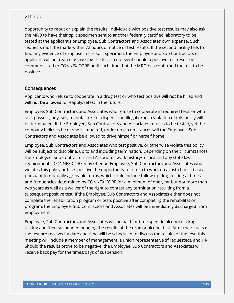opportunity to rebut or explain the results. Individuals with positive test results may also ask the MRO to have their split specimen sent to another federally certified laboratory to be tested at the applicant's or Employee, Sub Contractors and Associates own expense. Such requests must be made within 72 hours of notice of test results. If the second facility fails to find any evidence of drug use in the split specimen, the Employee and Sub Contractors or applicant will be treated as passing the test. In no event should a positive test result be communicated to CONNEXICORE until such time that the MRO has confirmed the test to be positive.

#### Consequences

Applicants who refuse to cooperate in a drug test or who test positive will not be hired and will not be allowed to reapply/retest in the future.

Employee, Sub Contractors and Associates who refuse to cooperate in required tests or who use, possess, buy, sell, manufacture or dispense an illegal drug in violation of this policy will be terminated. If the Employee, Sub Contractors and Associates refuses to be tested, yet the company believes he or she is impaired, under no circumstances will the Employee, Sub Contractors and Associates be allowed to drive himself or herself home.

Employee, Sub Contractors and Associates who test positive, or otherwise violate this policy, will be subject to discipline, up to and including termination. Depending on the circumstances, the Employee, Sub Contractors and Associates work history/record and any state law requirements, CONNEXICORE may offer an Employee, Sub Contractors and Associates who violates this policy or tests positive the opportunity to return to work on a last-chance basis pursuant to mutually agreeable terms, which could include follow-up drug testing at times and frequencies determined by CONNEXICORE for a minimum of one year but not more than two years as well as a waiver of the right to contest any termination resulting from a subsequent positive test. If the Employee, Sub Contractors and Associates either does not complete the rehabilitation program or tests positive after completing the rehabilitation program, the Employee, Sub Contractors and Associates will be immediately discharged from employment.

Employee, Sub Contractors and Associates will be paid for time spent in alcohol or drug testing and then suspended pending the results of the drug or alcohol test. After the results of the test are received, a date and time will be scheduled to discuss the results of the test; this meeting will include a member of management, a union representative (if requested), and HR. Should the results prove to be negative, the Employee, Sub Contractors and Associates will receive back pay for the times/days of suspension.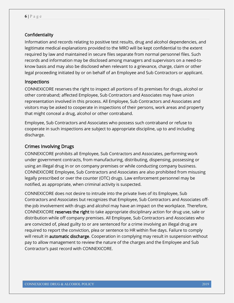#### **Confidentiality**

Information and records relating to positive test results, drug and alcohol dependencies, and legitimate medical explanations provided to the MRO will be kept confidential to the extent required by law and maintained in secure files separate from normal personnel files. Such records and information may be disclosed among managers and supervisors on a need-toknow basis and may also be disclosed when relevant to a grievance, charge, claim or other legal proceeding initiated by or on behalf of an Employee and Sub Contractors or applicant.

#### Inspections

CONNEXICORE reserves the right to inspect all portions of its premises for drugs, alcohol or other contraband; affected Employee, Sub Contractors and Associates may have union representation involved in this process. All Employee, Sub Contractors and Associates and visitors may be asked to cooperate in inspections of their persons, work areas and property that might conceal a drug, alcohol or other contraband.

Employee, Sub Contractors and Associates who possess such contraband or refuse to cooperate in such inspections are subject to appropriate discipline, up to and including discharge.

#### Crimes Involving Drugs

CONNEXICORE prohibits all Employee, Sub Contractors and Associates, performing work under government contracts, from manufacturing, distributing, dispensing, possessing or using an illegal drug in or on company premises or while conducting company business. CONNEXICORE Employee, Sub Contractors and Associates are also prohibited from misusing legally prescribed or over the counter (OTC) drugs. Law enforcement personnel may be notified, as appropriate, when criminal activity is suspected.

CONNEXICORE does not desire to intrude into the private lives of its Employee, Sub Contractors and Associates but recognizes that Employee, Sub Contractors and Associates offthe-job involvement with drugs and alcohol may have an impact on the workplace. Therefore, CONNEXICORE reserves the right to take appropriate disciplinary action for drug use, sale or distribution while off company premises. All Employee, Sub Contractors and Associates who are convicted of, plead guilty to or are sentenced for a crime involving an illegal drug are required to report the conviction, plea or sentence to HR within five days. Failure to comply will result in **automatic discharge**. Cooperation in complying may result in suspension without pay to allow management to review the nature of the charges and the Employee and Sub Contractor's past record with CONNEXICORE.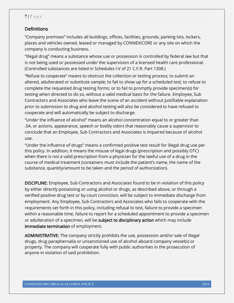## **Definitions**

"Company premises" includes all buildings, offices, facilities, grounds, parking lots, lockers, places and vehicles owned, leased or managed by CONNEXICORE or any site on which the company is conducting business.

"Illegal drug" means a substance whose use or possession is controlled by federal law but that is not being used or possessed under the supervision of a licensed health care professional. (Controlled substances are listed in Schedules I-V of 21 C.F.R. Part 1308.)

"Refuse to cooperate" means to obstruct the collection or testing process; to submit an altered, adulterated or substitute sample; to fail to show up for a scheduled test; to refuse to complete the requested drug testing forms; or to fail to promptly provide specimen(s) for testing when directed to do so, without a valid medical basis for the failure. Employee, Sub Contractors and Associates who leave the scene of an accident without justifiable explanation prior to submission to drug and alcohol testing will also be considered to have refused to cooperate and will automatically be subject to discharge.

"Under the influence of alcohol" means an alcohol concentration equal to or greater than .04, or actions, appearance, speech or bodily odors that reasonably cause a supervisor to conclude that an Employee, Sub Contractors and Associates is impaired because of alcohol use.

"Under the influence of drugs" means a confirmed positive test result for illegal drug use per this policy. In addition, it means the misuse of legal drugs (prescription and possibly OTC) when there is not a valid prescription from a physician for the lawful use of a drug in the course of medical treatment (containers must include the patient's name, the name of the substance, quantity/amount to be taken and the period of authorization).

DISCIPLINE: Employee, Sub Contractors and Associates found to be in violation of this policy by either directly possessing or using alcohol or drugs, as described above, or through a verified positive drug test or by court conviction, will be subject to immediate discharge from employment. Any Employee, Sub Contractors and Associates who fails to cooperate with the requirements set forth in this policy, including refusal to test, failure to provide a specimen within a reasonable time, failure to report for a scheduled appointment to provide a specimen or adulteration of a specimen, will be subject to disciplinary action which may include immediate termination of employment.

ADMINISTRATIVE: The company strictly prohibits the use, possession and/or sale of illegal drugs, drug paraphernalia or unsanctioned use of alcohol aboard company vessel(s) or property. The company will cooperate fully with public authorities in the prosecution of anyone in violation of said prohibition.